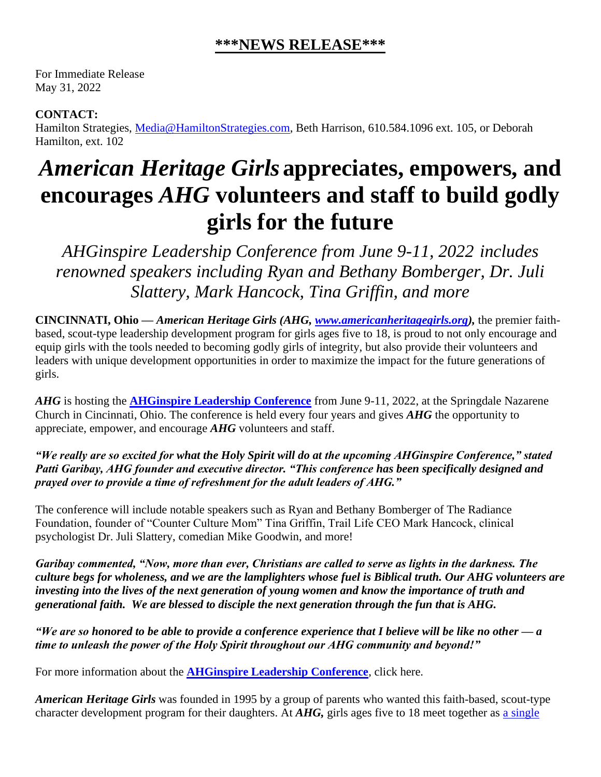## **\*\*\*NEWS RELEASE\*\*\***

For Immediate Release May 31, 2022

## **CONTACT:**

Hamilton Strategies, [Media@HamiltonStrategies.com,](mailto:Media@HamiltonStrategies.com) Beth Harrison, 610.584.1096 ext. 105, or Deborah Hamilton, ext. 102

## *American Heritage Girls* **appreciates, empowers, and encourages** *AHG* **volunteers and staff to build godly girls for the future**

*AHGinspire Leadership Conference from June 9-11, 2022 includes renowned speakers including Ryan and Bethany Bomberger, Dr. Juli Slattery, Mark Hancock, Tina Griffin, and more*

**CINCINNATI, Ohio —** *American Heritage Girls (AHG, [www.americanheritagegirls.org\)](http://www.americanheritagegirls.org/),* the premier faithbased, scout-type leadership development program for girls ages five to 18, is proud to not only encourage and equip girls with the tools needed to becoming godly girls of integrity, but also provide their volunteers and leaders with unique development opportunities in order to maximize the impact for the future generations of girls.

*AHG* is hosting the **[AHGinspire Leadership Conference](https://americanheritagegirls.regfox.com/ahginspire-adult-leadership-conference)** from June 9-11, 2022, at the Springdale Nazarene Church in Cincinnati, Ohio. The conference is held every four years and gives *AHG* the opportunity to appreciate, empower, and encourage *AHG* volunteers and staff.

*"We really are so excited for what the Holy Spirit will do at the upcoming AHGinspire Conference," stated Patti Garibay, AHG founder and executive director. "This conference has been specifically designed and prayed over to provide a time of refreshment for the adult leaders of AHG."*

The conference will include notable speakers such as Ryan and Bethany Bomberger of The Radiance Foundation, founder of "Counter Culture Mom" Tina Griffin, Trail Life CEO Mark Hancock, clinical psychologist Dr. Juli Slattery, comedian Mike Goodwin, and more!

*Garibay commented, "Now, more than ever, Christians are called to serve as lights in the darkness. The culture begs for wholeness, and we are the lamplighters whose fuel is Biblical truth. Our AHG volunteers are investing into the lives of the next generation of young women and know the importance of truth and generational faith. We are blessed to disciple the next generation through the fun that is AHG.*

*"We are so honored to be able to provide a conference experience that I believe will be like no other — a time to unleash the power of the Holy Spirit throughout our AHG community and beyond!"*

For more information about the **[AHGinspire Leadership Conference](https://americanheritagegirls.regfox.com/ahginspire-adult-leadership-conference)**, click here.

*American Heritage Girls* was founded in 1995 by a group of parents who wanted this faith-based, scout-type character development program for their daughters. At *AHG,* girls ages five to 18 meet together as a [single](about:blank)